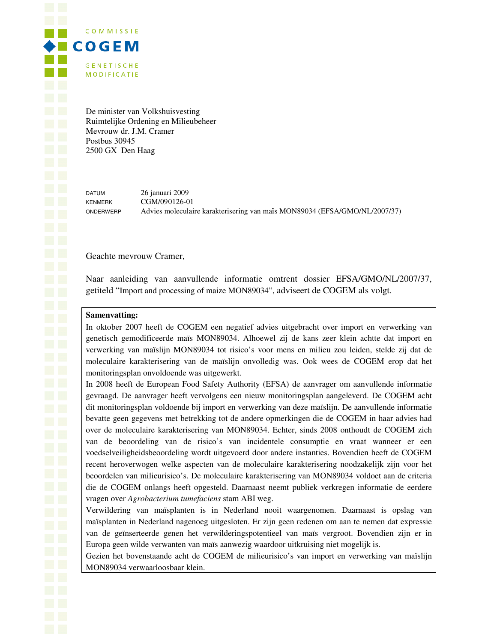**COMMISSIE**  $\blacklozenge$   $\blacksquare$   $\complement$   $\complement$   $\complement$   $\blacksquare$   $\complement$   $\complement$   $\blacksquare$   $\complement$   $\complement$   $\blacksquare$   $\complement$   $\complement$   $\blacksquare$ **GENETISCHE MODIFICATIE** 

> De minister van Volkshuisvesting Ruimtelijke Ordening en Milieubeheer Mevrouw dr. J.M. Cramer Postbus 30945 2500 GX Den Haag

DATUM 26 januari 2009 KENMERK CGM/090126-01 ONDERWERP Advies moleculaire karakterisering van maïs MON89034 (EFSA/GMO/NL/2007/37)

Geachte mevrouw Cramer,

Naar aanleiding van aanvullende informatie omtrent dossier EFSA/GMO/NL/2007/37, getiteld "Import and processing of maize MON89034", adviseert de COGEM als volgt.

### **Samenvatting:**

In oktober 2007 heeft de COGEM een negatief advies uitgebracht over import en verwerking van genetisch gemodificeerde maïs MON89034. Alhoewel zij de kans zeer klein achtte dat import en verwerking van maïslijn MON89034 tot risico's voor mens en milieu zou leiden, stelde zij dat de moleculaire karakterisering van de maïslijn onvolledig was. Ook wees de COGEM erop dat het monitoringsplan onvoldoende was uitgewerkt.

In 2008 heeft de European Food Safety Authority (EFSA) de aanvrager om aanvullende informatie gevraagd. De aanvrager heeft vervolgens een nieuw monitoringsplan aangeleverd. De COGEM acht dit monitoringsplan voldoende bij import en verwerking van deze maïslijn. De aanvullende informatie bevatte geen gegevens met betrekking tot de andere opmerkingen die de COGEM in haar advies had over de moleculaire karakterisering van MON89034. Echter, sinds 2008 onthoudt de COGEM zich van de beoordeling van de risico's van incidentele consumptie en vraat wanneer er een voedselveiligheidsbeoordeling wordt uitgevoerd door andere instanties. Bovendien heeft de COGEM recent heroverwogen welke aspecten van de moleculaire karakterisering noodzakelijk zijn voor het beoordelen van milieurisico's. De moleculaire karakterisering van MON89034 voldoet aan de criteria die de COGEM onlangs heeft opgesteld. Daarnaast neemt publiek verkregen informatie de eerdere vragen over *Agrobacterium tumefaciens* stam ABI weg.

Verwildering van maïsplanten is in Nederland nooit waargenomen. Daarnaast is opslag van maïsplanten in Nederland nagenoeg uitgesloten. Er zijn geen redenen om aan te nemen dat expressie van de geïnserteerde genen het verwilderingspotentieel van maïs vergroot. Bovendien zijn er in Europa geen wilde verwanten van maïs aanwezig waardoor uitkruising niet mogelijk is.

Gezien het bovenstaande acht de COGEM de milieurisico's van import en verwerking van maïslijn MON89034 verwaarloosbaar klein.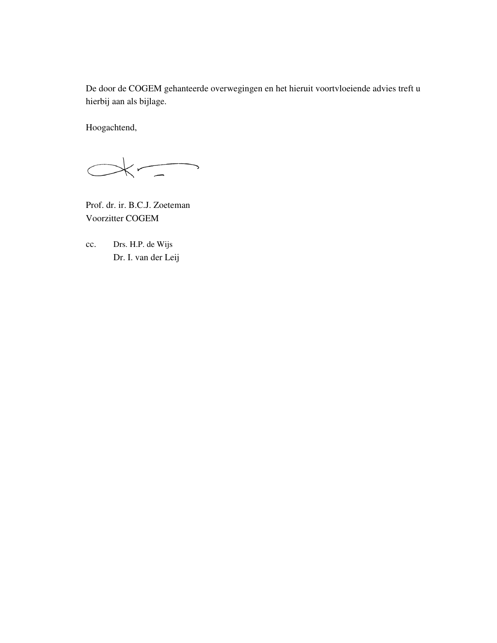De door de COGEM gehanteerde overwegingen en het hieruit voortvloeiende advies treft u hierbij aan als bijlage.

Hoogachtend,

 $\overline{\phantom{a}}$  $\overline{\left( \begin{array}{c} \end{array}\right)}$  $\bigcirc$ 

Prof. dr. ir. B.C.J. Zoeteman Voorzitter COGEM

cc. Drs. H.P. de Wijs Dr. I. van der Leij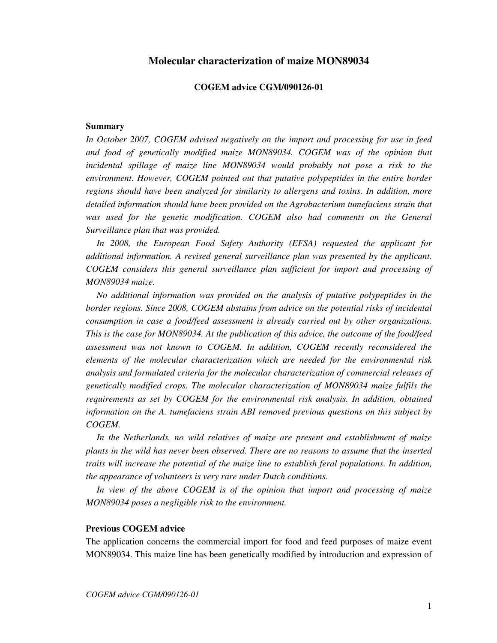# **Molecular characterization of maize MON89034**

### **COGEM advice CGM/090126-01**

#### **Summary**

*In October 2007, COGEM advised negatively on the import and processing for use in feed*  and food of genetically modified maize MON89034. COGEM was of the opinion that incidental spillage of maize line MON89034 would probably not pose a risk to the *environment. However, COGEM pointed out that putative polypeptides in the entire border regions should have been analyzed for similarity to allergens and toxins. In addition, more*  detailed information should have been provided on the Agrobacterium tumefaciens strain that was used for the genetic modification. COGEM also had comments on the General *Surveillance plan that was provided.* 

 *In 2008, the European Food Safety Authority (EFSA) requested the applicant for additional information. A revised general surveillance plan was presented by the applicant. COGEM considers this general surveillance plan sufficient for import and processing of MON89034 maize.* 

 *No additional information was provided on the analysis of putative polypeptides in the border regions. Since 2008, COGEM abstains from advice on the potential risks of incidental consumption in case a food/feed assessment is already carried out by other organizations. This is the case for MON89034. At the publication of this advice, the outcome of the food/feed assessment was not known to COGEM. In addition, COGEM recently reconsidered the elements of the molecular characterization which are needed for the environmental risk analysis and formulated criteria for the molecular characterization of commercial releases of genetically modified crops. The molecular characterization of MON89034 maize fulfils the requirements as set by COGEM for the environmental risk analysis. In addition, obtained information on the A. tumefaciens strain ABI removed previous questions on this subject by COGEM.* 

*In the Netherlands, no wild relatives of maize are present and establishment of maize plants in the wild has never been observed. There are no reasons to assume that the inserted traits will increase the potential of the maize line to establish feral populations. In addition, the appearance of volunteers is very rare under Dutch conditions.* 

 *In view of the above COGEM is of the opinion that import and processing of maize MON89034 poses a negligible risk to the environment.* 

#### **Previous COGEM advice**

The application concerns the commercial import for food and feed purposes of maize event MON89034. This maize line has been genetically modified by introduction and expression of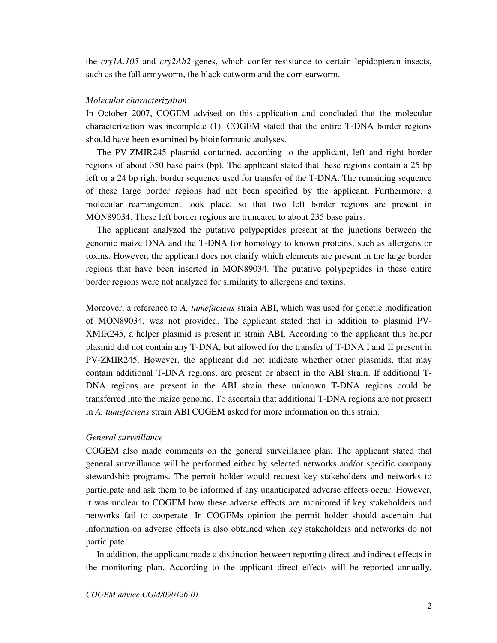the *cry1A.105* and *cry2Ab2* genes, which confer resistance to certain lepidopteran insects, such as the fall armyworm, the black cutworm and the corn earworm.

#### *Molecular characterization*

In October 2007, COGEM advised on this application and concluded that the molecular characterization was incomplete (1). COGEM stated that the entire T-DNA border regions should have been examined by bioinformatic analyses.

 The PV-ZMIR245 plasmid contained, according to the applicant, left and right border regions of about 350 base pairs (bp). The applicant stated that these regions contain a 25 bp left or a 24 bp right border sequence used for transfer of the T-DNA. The remaining sequence of these large border regions had not been specified by the applicant. Furthermore, a molecular rearrangement took place, so that two left border regions are present in MON89034. These left border regions are truncated to about 235 base pairs.

 The applicant analyzed the putative polypeptides present at the junctions between the genomic maize DNA and the T-DNA for homology to known proteins, such as allergens or toxins. However, the applicant does not clarify which elements are present in the large border regions that have been inserted in MON89034. The putative polypeptides in these entire border regions were not analyzed for similarity to allergens and toxins.

Moreover, a reference to *A. tumefaciens* strain ABI, which was used for genetic modification of MON89034, was not provided. The applicant stated that in addition to plasmid PV-XMIR245, a helper plasmid is present in strain ABI. According to the applicant this helper plasmid did not contain any T-DNA, but allowed for the transfer of T-DNA I and II present in PV-ZMIR245. However, the applicant did not indicate whether other plasmids, that may contain additional T-DNA regions, are present or absent in the ABI strain. If additional T-DNA regions are present in the ABI strain these unknown T-DNA regions could be transferred into the maize genome. To ascertain that additional T-DNA regions are not present in *A. tumefaciens* strain ABI COGEM asked for more information on this strain.

## *General surveillance*

COGEM also made comments on the general surveillance plan. The applicant stated that general surveillance will be performed either by selected networks and/or specific company stewardship programs. The permit holder would request key stakeholders and networks to participate and ask them to be informed if any unanticipated adverse effects occur. However, it was unclear to COGEM how these adverse effects are monitored if key stakeholders and networks fail to cooperate. In COGEMs opinion the permit holder should ascertain that information on adverse effects is also obtained when key stakeholders and networks do not participate.

 In addition, the applicant made a distinction between reporting direct and indirect effects in the monitoring plan. According to the applicant direct effects will be reported annually,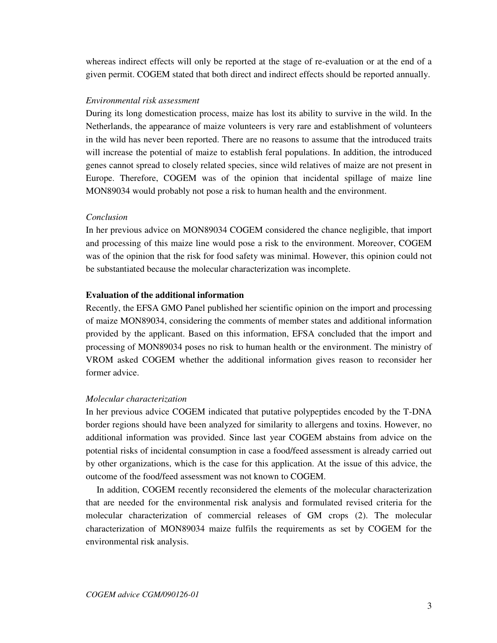whereas indirect effects will only be reported at the stage of re-evaluation or at the end of a given permit. COGEM stated that both direct and indirect effects should be reported annually.

# *Environmental risk assessment*

During its long domestication process, maize has lost its ability to survive in the wild. In the Netherlands, the appearance of maize volunteers is very rare and establishment of volunteers in the wild has never been reported. There are no reasons to assume that the introduced traits will increase the potential of maize to establish feral populations. In addition, the introduced genes cannot spread to closely related species, since wild relatives of maize are not present in Europe. Therefore, COGEM was of the opinion that incidental spillage of maize line MON89034 would probably not pose a risk to human health and the environment.

# *Conclusion*

In her previous advice on MON89034 COGEM considered the chance negligible, that import and processing of this maize line would pose a risk to the environment. Moreover, COGEM was of the opinion that the risk for food safety was minimal. However, this opinion could not be substantiated because the molecular characterization was incomplete.

# **Evaluation of the additional information**

Recently, the EFSA GMO Panel published her scientific opinion on the import and processing of maize MON89034, considering the comments of member states and additional information provided by the applicant. Based on this information, EFSA concluded that the import and processing of MON89034 poses no risk to human health or the environment. The ministry of VROM asked COGEM whether the additional information gives reason to reconsider her former advice.

## *Molecular characterization*

In her previous advice COGEM indicated that putative polypeptides encoded by the T-DNA border regions should have been analyzed for similarity to allergens and toxins. However, no additional information was provided. Since last year COGEM abstains from advice on the potential risks of incidental consumption in case a food/feed assessment is already carried out by other organizations, which is the case for this application. At the issue of this advice, the outcome of the food/feed assessment was not known to COGEM.

 In addition, COGEM recently reconsidered the elements of the molecular characterization that are needed for the environmental risk analysis and formulated revised criteria for the molecular characterization of commercial releases of GM crops (2). The molecular characterization of MON89034 maize fulfils the requirements as set by COGEM for the environmental risk analysis.